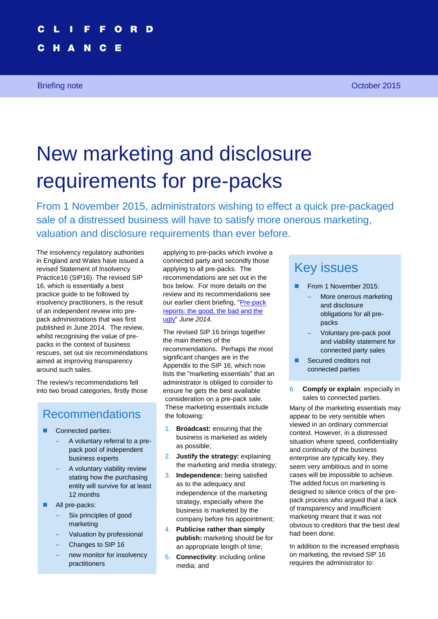Е

N

Briefing note **October 2015** 

# New marketing and disclosure requirements for pre-packs

From 1 November 2015, administrators wishing to effect a quick pre-packaged sale of a distressed business will have to satisfy more onerous marketing, valuation and disclosure requirements than ever before.

The insolvency regulatory authorities in England and Wales have issued a revised Statement of Insolvency Practice16 (SIP16). The revised SIP 16, which is essentially a best practice guide to be followed by insolvency practitioners, is the result of an independent review into prepack administrations that was first published in June 2014. The review, whilst recognising the value of prepacks in the context of business rescues, set out six recommendations aimed at improving transparency around such sales.

The review's recommendations fell into two broad categories, firstly those

### Recommendations

- Connected parties:
	- A voluntary referral to a prepack pool of independent business experts
	- A voluntary viability review stating how the purchasing entity will survive for at least 12 months
- **All pre-packs:** 
	- Six principles of good marketing
	- Valuation by professional
	- Changes to SIP 16
	- new monitor for insolvency practitioners

applying to pre-packs which involve a connected party and secondly those applying to all pre-packs. The recommendations are set out in the box below. For more details on the review and its recommendations see our earlier client briefing, ["Pre-pack](http://www.cliffordchance.com/briefings/2014/06/pre-pack_report_thegoodthebadandtheugly.html)  [reports: the good, the bad and the](http://www.cliffordchance.com/briefings/2014/06/pre-pack_report_thegoodthebadandtheugly.html)  [ugly"](http://www.cliffordchance.com/briefings/2014/06/pre-pack_report_thegoodthebadandtheugly.html) *June 2014*.

The revised SIP 16 brings together the main themes of the recommendations. Perhaps the most significant changes are in the Appendix to the SIP 16, which now lists the "marketing essentials" that an administrator is obliged to consider to ensure he gets the best available consideration on a pre-pack sale. These marketing essentials include the following:

- 1. **Broadcast:** ensuring that the business is marketed as widely as possible;
- 2. **Justify the strategy:** explaining the marketing and media strategy;
- 3. **Independence:** being satisfied as to the adequacy and independence of the marketing strategy, especially where the business is marketed by the company before his appointment;
- 4. **Publicise rather than simply publish:** marketing should be for an appropriate length of time;
- 5. **Connectivity**: including online media; and

# Key issues

- From 1 November 2015:
	- More onerous marketing and disclosure obligations for all prepacks
	- Voluntary pre-pack pool and viability statement for connected party sales
- Secured creditors not connected parties
- 6. **Comply or explain**: especially in sales to connected parties.

Many of the marketing essentials may appear to be very sensible when viewed in an ordinary commercial context. However, in a distressed situation where speed, confidentiality and continuity of the business enterprise are typically key, they seem very ambitious and in some cases will be impossible to achieve. The added focus on marketing is designed to silence critics of the prepack process who argued that a lack of transparency and insufficient marketing meant that it was not obvious to creditors that the best deal had been done.

In addition to the increased emphasis on marketing, the revised SIP 16 requires the administrator to: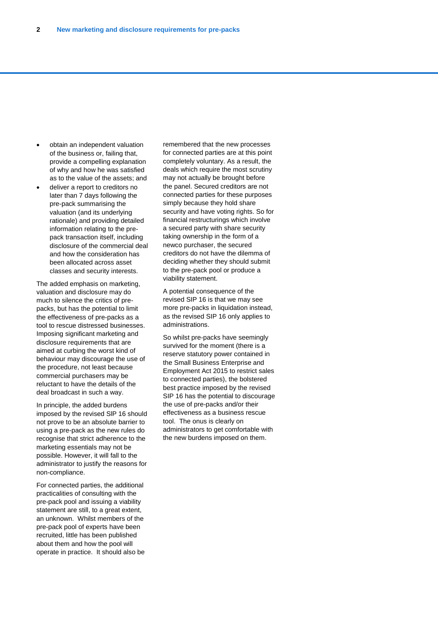- obtain an independent valuation of the business or, failing that, provide a compelling explanation of why and how he was satisfied as to the value of the assets; and
- deliver a report to creditors no later than 7 days following the pre-pack summarising the valuation (and its underlying rationale) and providing detailed information relating to the prepack transaction itself, including disclosure of the commercial deal and how the consideration has been allocated across asset classes and security interests.

The added emphasis on marketing, valuation and disclosure may do much to silence the critics of prepacks, but has the potential to limit the effectiveness of pre-packs as a tool to rescue distressed businesses. Imposing significant marketing and disclosure requirements that are aimed at curbing the worst kind of behaviour may discourage the use of the procedure, not least because commercial purchasers may be reluctant to have the details of the deal broadcast in such a way.

In principle, the added burdens imposed by the revised SlP 16 should not prove to be an absolute barrier to using a pre-pack as the new rules do recognise that strict adherence to the marketing essentials may not be possible. However, it will fall to the administrator to justify the reasons for non-compliance.

For connected parties, the additional practicalities of consulting with the pre-pack pool and issuing a viability statement are still, to a great extent, an unknown. Whilst members of the pre-pack pool of experts have been recruited, little has been published about them and how the pool will operate in practice. It should also be

remembered that the new processes for connected parties are at this point completely voluntary. As a result, the deals which require the most scrutiny may not actually be brought before the panel. Secured creditors are not connected parties for these purposes simply because they hold share security and have voting rights. So for financial restructurings which involve a secured party with share security taking ownership in the form of a newco purchaser, the secured creditors do not have the dilemma of deciding whether they should submit to the pre-pack pool or produce a viability statement.

A potential consequence of the revised SIP 16 is that we may see more pre-packs in liquidation instead, as the revised SIP 16 only applies to administrations.

So whilst pre-packs have seemingly survived for the moment (there is a reserve statutory power contained in the Small Business Enterprise and Employment Act 2015 to restrict sales to connected parties), the bolstered best practice imposed by the revised SIP 16 has the potential to discourage the use of pre-packs and/or their effectiveness as a business rescue tool. The onus is clearly on administrators to get comfortable with the new burdens imposed on them.